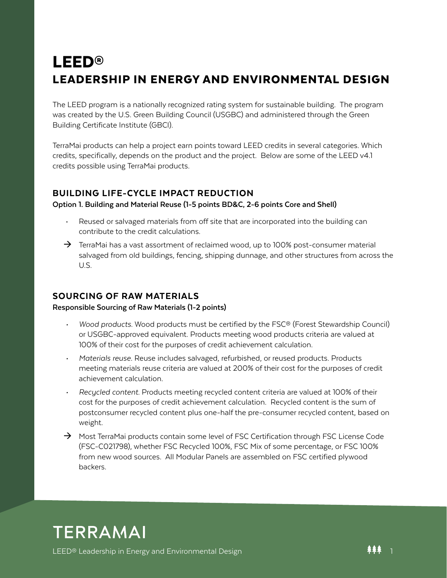# LEED® LEADERSHIP IN ENERGY AND ENVIRONMENTAL DESIGN

The LEED program is a nationally recognized rating system for sustainable building. The program was created by the U.S. Green Building Council (USGBC) and administered through the Green Building Certificate Institute (GBCI).

TerraMai products can help a project earn points toward LEED credits in several categories. Which credits, specifically, depends on the product and the project. Below are some of the LEED v4.1 credits possible using TerraMai products.

# BUILDING LIFE-CYCLE IMPACT REDUCTION

#### **Option 1. Building and Material Reuse (1-5 points BD&C, 2-6 points Core and Shell)**

- Reused or salvaged materials from off site that are incorporated into the building can contribute to the credit calculations.
- $\rightarrow$  TerraMai has a vast assortment of reclaimed wood, up to 100% post-consumer material salvaged from old buildings, fencing, shipping dunnage, and other structures from across the U.S.

# SOURCING OF RAW MATERIALS

#### **Responsible Sourcing of Raw Materials (1-2 points)**

- *• Wood products.* Wood products must be certified by the FSC® (Forest Stewardship Council) or USGBC-approved equivalent. Products meeting wood products criteria are valued at 100% of their cost for the purposes of credit achievement calculation.
- *• Materials reuse.* Reuse includes salvaged, refurbished, or reused products. Products meeting materials reuse criteria are valued at 200% of their cost for the purposes of credit achievement calculation.
- *• Recycled content.* Products meeting recycled content criteria are valued at 100% of their cost for the purposes of credit achievement calculation. Recycled content is the sum of postconsumer recycled content plus one-half the pre-consumer recycled content, based on weight.
- $\rightarrow$  Most TerraMai products contain some level of FSC Certification through FSC License Code (FSC-C021798), whether FSC Recycled 100%, FSC Mix of some percentage, or FSC 100% from new wood sources. All Modular Panels are assembled on FSC certified plywood backers.